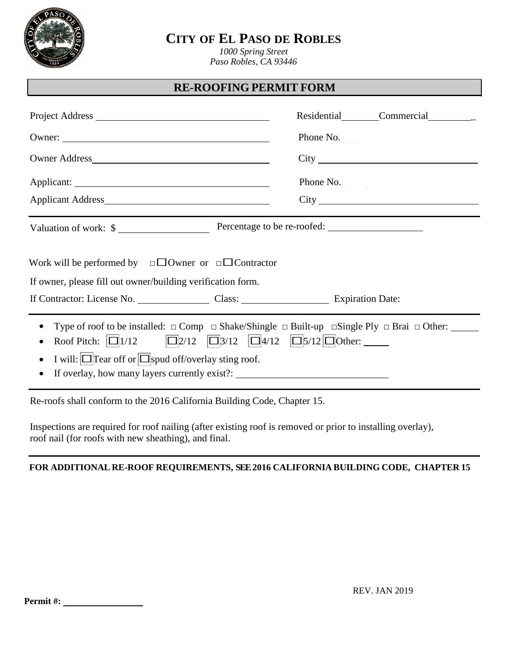

# **CITY OF EL PASO DE ROBLES**

*1000 Spring Street Paso Robles, CA 93446*

### **RE-ROOFING PERMIT FORM**

|                                                                                                                                                                                                                                                                                                      | Residential Commercial |  |  |
|------------------------------------------------------------------------------------------------------------------------------------------------------------------------------------------------------------------------------------------------------------------------------------------------------|------------------------|--|--|
|                                                                                                                                                                                                                                                                                                      | Phone No.              |  |  |
|                                                                                                                                                                                                                                                                                                      |                        |  |  |
|                                                                                                                                                                                                                                                                                                      | Phone No.              |  |  |
|                                                                                                                                                                                                                                                                                                      |                        |  |  |
| Valuation of work: \$                                                                                                                                                                                                                                                                                |                        |  |  |
| Work will be performed by $\square$ Owner or $\square$ Contractor                                                                                                                                                                                                                                    |                        |  |  |
| If owner, please fill out owner/building verification form.                                                                                                                                                                                                                                          |                        |  |  |
|                                                                                                                                                                                                                                                                                                      |                        |  |  |
| Type of roof to be installed: $\Box$ Comp $\Box$ Shake/Shingle $\Box$ Built-up $\Box$ Single Ply $\Box$ Brai $\Box$ Other:<br>$\bullet$<br>Roof Pitch: $\boxed{ \Box 1/12}$ $\boxed{ \Box 2/12}$ $\boxed{ \Box 3/12}$ $\boxed{ \Box 4/12}$ $\boxed{ \Box 5/12}$ $\boxed{ \Box 0}$ ther:<br>$\bullet$ |                        |  |  |
| I will: $\Box$ Tear off or $\Box$ spud off/overlay sting roof.<br>$\bullet$<br>If overlay, how many layers currently exist?: __________________________________<br>$\bullet$                                                                                                                         |                        |  |  |

Re-roofs shall conform to the 2016 California Building Code, Chapter 15.

Inspections are required for roof nailing (after existing roof is removed or prior to installing overlay), roof nail (for roofs with new sheathing), and final.

### **FOR ADDITIONAL RE-ROOF REQUIREMENTS, SEE 2016 CALIFORNIA BUILDING CODE, CHAPTER 15**